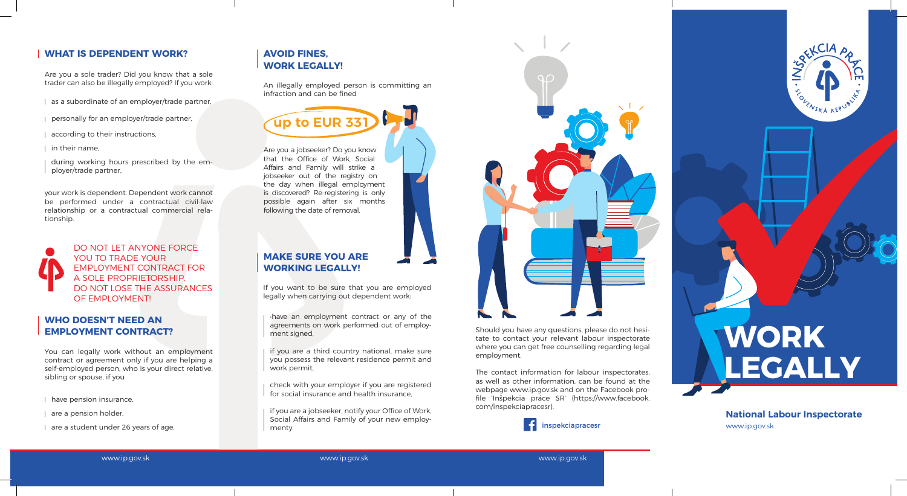## **WORK LEGALLY**

www.ip.gov.sk **National Labour Inspectorate**



### **WHAT IS DEPENDENT WORK?** AVOID FINES.

Are you a sole trader? Did you know that a sole trader can also be illegally employed? If you work:<br>An illegally employed person is committing an

### **WORK LEGALLY!**

infraction and can be fined

### **MAKE SURE YOU ARE WORKING LEGALLY!**

# **WHO DOESN'T NEED AN**

**EMPLOYMENT CONTRACT?**

If you want to be sure that you are employed legally when carrying out dependent work:

Are you a jobseeker? Do you know that the Office of Work, Social Affairs and Family will strike a jobseeker out of the registry on the day when illegal employment is discovered? Re-registering is only possible again after six months following the date of removal.

- as a subordinate of an employer/trade partner,
- personally for an employer/trade partner,
- according to their instructions,
- $\parallel$  in their name,

You can legally work without an employment contract or agreement only if you are helping a self-employed person, who is your direct relative, sibling or spouse, if you

| have pension insurance,

| are a pension holder,

| are a student under 26 years of age.

if you are a jobseeker, notify your Office of Work, Social Affairs and Family of your new employmenty.



Should you have any questions, please do not hesitate to contact your relevant labour inspectorate where you can get free counselling regarding legal employment.

The contact information for labour inspectorates, as well as other information, can be found at the webpage www.ip.gov.sk and on the Facebook profile 'Inšpekcia práce SR' (https://www.facebook. com/inspekciapracesr).

www.ip.gov.sk www.ip.gov.sk www.ip.gov.sk



your work is dependent. Dependent work cannot be performed under a contractual civil-law relationship or a contractual commercial relationship.

during working hours prescribed by the employer/trade partner,

> •have an employment contract or any of the agreements on work performed out of employment signed,

> if you are a third country national, make sure you possess the relevant residence permit and work permit,

> check with your employer if you are registered for social insurance and health insurance,

**up to EUR 331**